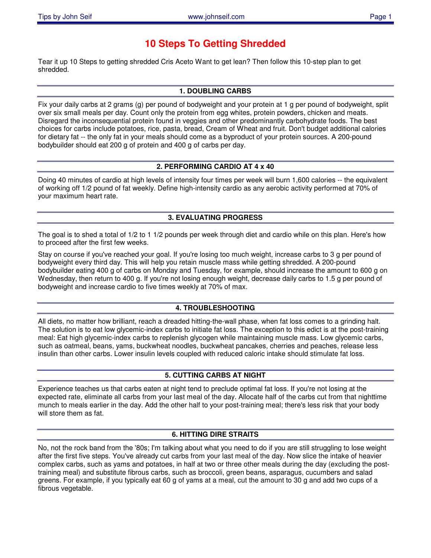# **10 Steps To Getting Shredded**

Tear it up 10 Steps to getting shredded Cris Aceto Want to get lean? Then follow this 10-step plan to get shredded.

#### **1. DOUBLING CARBS**

Fix your daily carbs at 2 grams (g) per pound of bodyweight and your protein at 1 g per pound of bodyweight, split over six small meals per day. Count only the protein from egg whites, protein powders, chicken and meats. Disregard the inconsequential protein found in veggies and other predominantly carbohydrate foods. The best choices for carbs include potatoes, rice, pasta, bread, Cream of Wheat and fruit. Don't budget additional calories for dietary fat -- the only fat in your meals should come as a byproduct of your protein sources. A 200-pound bodybuilder should eat 200 g of protein and 400 g of carbs per day.

## **2. PERFORMING CARDIO AT 4 x 40**

Doing 40 minutes of cardio at high levels of intensity four times per week will burn 1,600 calories -- the equivalent of working off 1/2 pound of fat weekly. Define high-intensity cardio as any aerobic activity performed at 70% of your maximum heart rate.

## **3. EVALUATING PROGRESS**

The goal is to shed a total of 1/2 to 1 1/2 pounds per week through diet and cardio while on this plan. Here's how to proceed after the first few weeks.

Stay on course if you've reached your goal. If you're losing too much weight, increase carbs to 3 g per pound of bodyweight every third day. This will help you retain muscle mass while getting shredded. A 200-pound bodybuilder eating 400 g of carbs on Monday and Tuesday, for example, should increase the amount to 600 g on Wednesday, then return to 400 g. If you're not losing enough weight, decrease daily carbs to 1.5 g per pound of bodyweight and increase cardio to five times weekly at 70% of max.

## **4. TROUBLESHOOTING**

All diets, no matter how brilliant, reach a dreaded hitting-the-wall phase, when fat loss comes to a grinding halt. The solution is to eat low glycemic-index carbs to initiate fat loss. The exception to this edict is at the post-training meal: Eat high glycemic-index carbs to replenish glycogen while maintaining muscle mass. Low glycemic carbs, such as oatmeal, beans, yams, buckwheat noodles, buckwheat pancakes, cherries and peaches, release less insulin than other carbs. Lower insulin levels coupled with reduced caloric intake should stimulate fat loss.

## **5. CUTTING CARBS AT NIGHT**

Experience teaches us that carbs eaten at night tend to preclude optimal fat loss. If you're not losing at the expected rate, eliminate all carbs from your last meal of the day. Allocate half of the carbs cut from that nighttime munch to meals earlier in the day. Add the other half to your post-training meal; there's less risk that your body will store them as fat.

## **6. HITTING DIRE STRAITS**

No, not the rock band from the '80s; I'm talking about what you need to do if you are still struggling to lose weight after the first five steps. You've already cut carbs from your last meal of the day. Now slice the intake of heavier complex carbs, such as yams and potatoes, in half at two or three other meals during the day (excluding the posttraining meal) and substitute fibrous carbs, such as broccoli, green beans, asparagus, cucumbers and salad greens. For example, if you typically eat 60 g of yams at a meal, cut the amount to 30 g and add two cups of a fibrous vegetable.